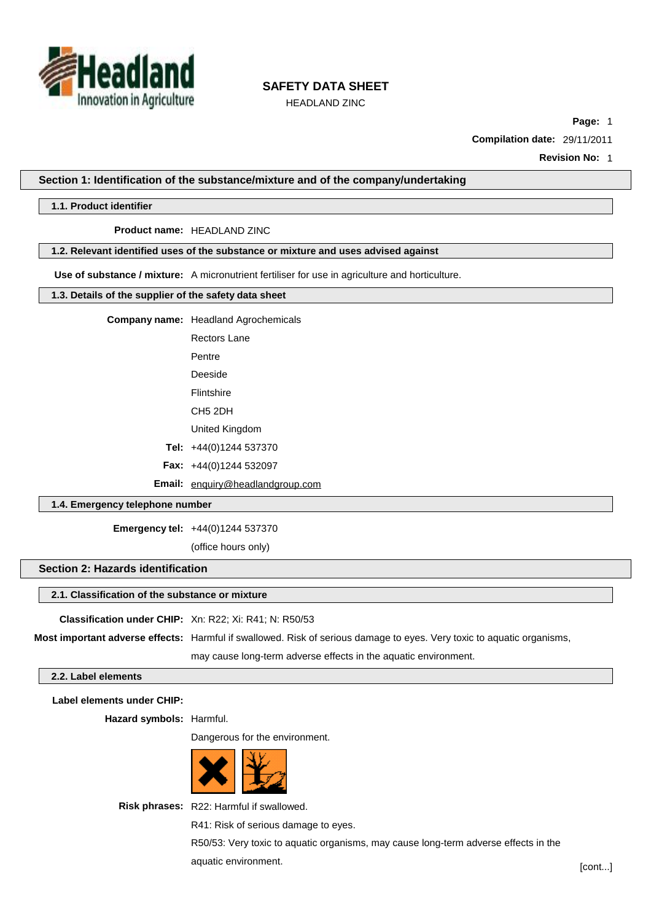

HEADLAND ZINC

**Page:** 1

**Compilation date:** 29/11/2011

**Revision No:** 1

**Section 1: Identification of the substance/mixture and of the company/undertaking**

## **1.1. Product identifier**

**Product name:** HEADLAND ZINC

#### **1.2. Relevant identified uses of the substance or mixture and uses advised against**

**Use of substance / mixture:** A micronutrient fertiliser for use in agriculture and horticulture.

### **1.3. Details of the supplier of the safety data sheet**

**Company name:** Headland Agrochemicals

Rectors Lane

Pentre

Deeside

Flintshire CH5 2DH

United Kingdom

**Tel:** +44(0)1244 537370

**Fax:** +44(0)1244 532097

**Email:** [enquiry@headlandgroup.com](mailto:enquiry@headlandgroup.com)

### **1.4. Emergency telephone number**

**Emergency tel:** +44(0)1244 537370

(office hours only)

## **Section 2: Hazards identification**

### **2.1. Classification of the substance or mixture**

**Classification under CHIP:** Xn: R22; Xi: R41; N: R50/53

**Most important adverse effects:** Harmful if swallowed. Risk of serious damage to eyes. Very toxic to aquatic organisms,

may cause long-term adverse effects in the aquatic environment.

## **2.2. Label elements**

**Label elements under CHIP:**

**Hazard symbols:** Harmful.

Dangerous for the environment.



**Risk phrases:** R22: Harmful if swallowed.

R41: Risk of serious damage to eyes.

R50/53: Very toxic to aquatic organisms, may cause long-term adverse effects in the aquatic environment. [cont...]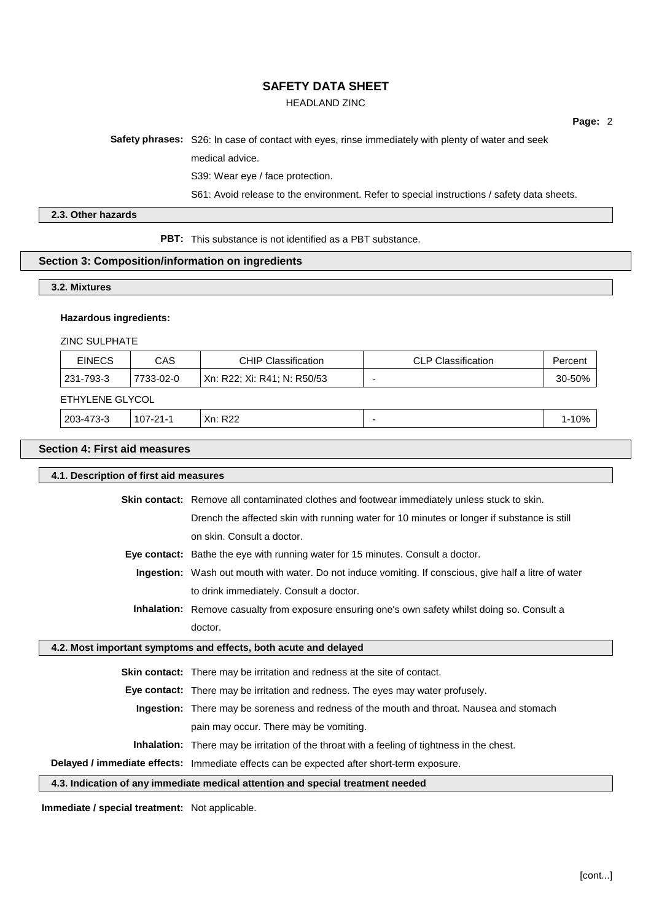# HEADLAND ZINC

**Page:** 2

**Safety phrases:** S26: In case of contact with eyes, rinse immediately with plenty of water and seek

medical advice.

S39: Wear eye / face protection.

S61: Avoid release to the environment. Refer to special instructions / safety data sheets.

## **2.3. Other hazards**

**PBT:** This substance is not identified as a PBT substance.

### **Section 3: Composition/information on ingredients**

### **3.2. Mixtures**

### **Hazardous ingredients:**

ZINC SULPHATE

|                                                                                       | <b>CLP Classification</b> | Percen.    |
|---------------------------------------------------------------------------------------|---------------------------|------------|
| 231-793-3<br>  Xn: R22: Xi: R41: N: R50/53  <br>7733-02-0<br>$\overline{\phantom{a}}$ |                           | $30 - 50%$ |

#### ETHYLENE GLYCOL

| 203-473-3 | $107-21$<br>. | פמח<br>Xn:<br>RZZ |  | 10% |
|-----------|---------------|-------------------|--|-----|
|-----------|---------------|-------------------|--|-----|

## **Section 4: First aid measures**

| 4.1. Description of first aid measures                           |                                                                                                        |  |
|------------------------------------------------------------------|--------------------------------------------------------------------------------------------------------|--|
|                                                                  | Skin contact: Remove all contaminated clothes and footwear immediately unless stuck to skin.           |  |
|                                                                  | Drench the affected skin with running water for 10 minutes or longer if substance is still             |  |
|                                                                  | on skin. Consult a doctor.                                                                             |  |
|                                                                  | Eye contact: Bathe the eye with running water for 15 minutes. Consult a doctor.                        |  |
|                                                                  | Ingestion: Wash out mouth with water. Do not induce vomiting. If conscious, give half a litre of water |  |
|                                                                  | to drink immediately. Consult a doctor.                                                                |  |
|                                                                  | Inhalation: Remove casualty from exposure ensuring one's own safety whilst doing so. Consult a         |  |
|                                                                  | doctor.                                                                                                |  |
| 4.2. Most important symptoms and effects, both acute and delayed |                                                                                                        |  |
|                                                                  | <b>Skin contact:</b> There may be irritation and redness at the site of contact.                       |  |
|                                                                  | <b>Eye contact:</b> There may be irritation and redness. The eyes may water profusely.                 |  |
|                                                                  | <b>Ingestion:</b> There may be soreness and redness of the mouth and throat. Nausea and stomach        |  |
|                                                                  | pain may occur. There may be vomiting.                                                                 |  |
|                                                                  | <b>Inhalation:</b> There may be irritation of the throat with a feeling of tightness in the chest.     |  |
|                                                                  | Delayed / immediate effects: Immediate effects can be expected after short-term exposure.              |  |

**4.3. Indication of any immediate medical attention and special treatment needed**

**Immediate / special treatment:** Not applicable.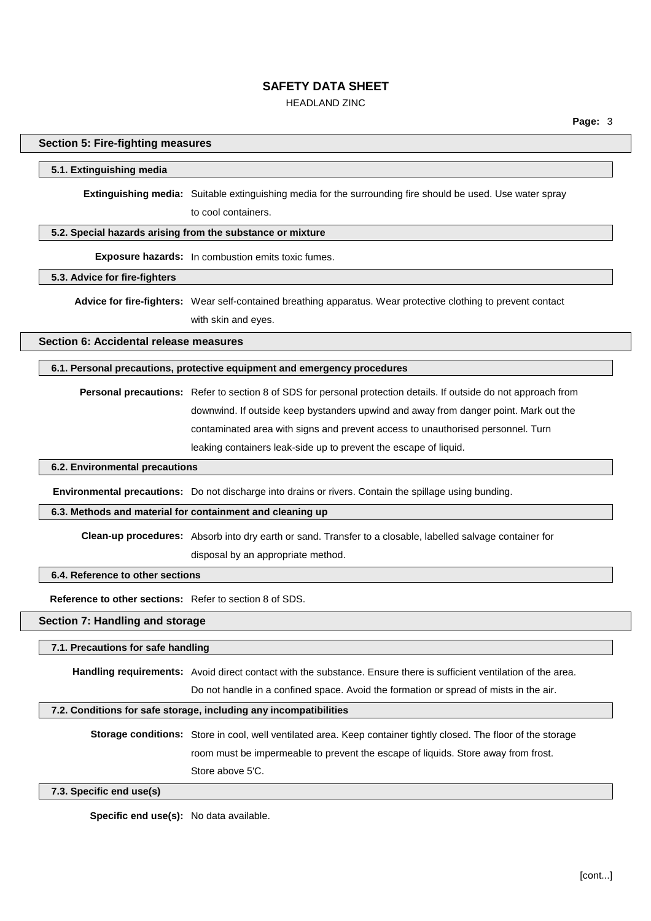## HEADLAND ZINC

**Page:** 3

#### **Section 5: Fire-fighting measures**

#### **5.1. Extinguishing media**

**Extinguishing media:** Suitable extinguishing media for the surrounding fire should be used. Use water spray to cool containers.

### **5.2. Special hazards arising from the substance or mixture**

**Exposure hazards:** In combustion emits toxic fumes.

## **5.3. Advice for fire-fighters**

**Advice for fire-fighters:** Wear self-contained breathing apparatus. Wear protective clothing to prevent contact with skin and eyes.

**Section 6: Accidental release measures**

#### **6.1. Personal precautions, protective equipment and emergency procedures**

**Personal precautions:** Refer to section 8 of SDS for personal protection details. If outside do not approach from downwind. If outside keep bystanders upwind and away from danger point. Mark out the contaminated area with signs and prevent access to unauthorised personnel. Turn leaking containers leak-side up to prevent the escape of liquid.

## **6.2. Environmental precautions**

**Environmental precautions:** Do not discharge into drains or rivers. Contain the spillage using bunding.

#### **6.3. Methods and material for containment and cleaning up**

**Clean-up procedures:** Absorb into dry earth or sand. Transfer to a closable, labelled salvage container for

disposal by an appropriate method.

## **6.4. Reference to other sections**

**Reference to other sections:** Refer to section 8 of SDS.

### **Section 7: Handling and storage**

#### **7.1. Precautions for safe handling**

**Handling requirements:** Avoid direct contact with the substance. Ensure there is sufficient ventilation of the area. Do not handle in a confined space. Avoid the formation or spread of mists in the air.

#### **7.2. Conditions for safe storage, including any incompatibilities**

**Storage conditions:** Store in cool, well ventilated area. Keep container tightly closed. The floor of the storage room must be impermeable to prevent the escape of liquids. Store away from frost. Store above 5'C.

#### **7.3. Specific end use(s)**

**Specific end use(s):** No data available.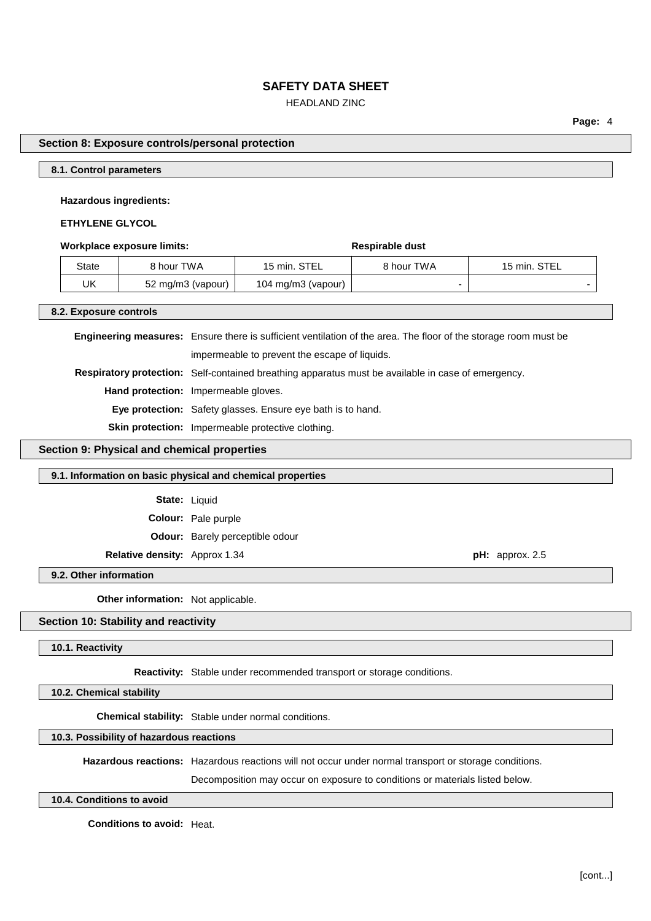## HEADLAND ZINC

**Page:** 4

### **Section 8: Exposure controls/personal protection**

#### **8.1. Control parameters**

### **Hazardous ingredients:**

### **ETHYLENE GLYCOL**

#### **Workplace** exposure limits: **Respirable** dust

| State | 8 hour TWA        | 15 min. STEL       | 8 hour TWA | 15 min. STEL |
|-------|-------------------|--------------------|------------|--------------|
| UK    | 52 mg/m3 (vapour) | 104 mg/m3 (vapour) |            |              |

#### **8.2. Exposure controls**

**Engineering measures:** Ensure there is sufficient ventilation of the area. The floor of the storage room must be impermeable to prevent the escape of liquids. **Respiratory protection:** Self-contained breathing apparatus must be available in case of emergency. **Hand protection:** Impermeable gloves. **Eye protection:** Safety glasses. Ensure eye bath is to hand. **Skin protection:** Impermeable protective clothing.

## **Section 9: Physical and chemical properties**

#### **9.1. Information on basic physical and chemical properties**

**State:** Liquid

**Colour:** Pale purple

**Odour:** Barely perceptible odour

**Relative density:** Approx 1.34 **pH:** approx. 2.5

#### **9.2. Other information**

**Other information:** Not applicable.

## **Section 10: Stability and reactivity**

#### **10.1. Reactivity**

**Reactivity:** Stable under recommended transport or storage conditions.

**10.2. Chemical stability**

**Chemical stability:** Stable under normal conditions.

## **10.3. Possibility of hazardous reactions**

**Hazardous reactions:** Hazardous reactions will not occur under normal transport or storage conditions.

Decomposition may occur on exposure to conditions or materials listed below.

#### **10.4. Conditions to avoid**

**Conditions to avoid:** Heat.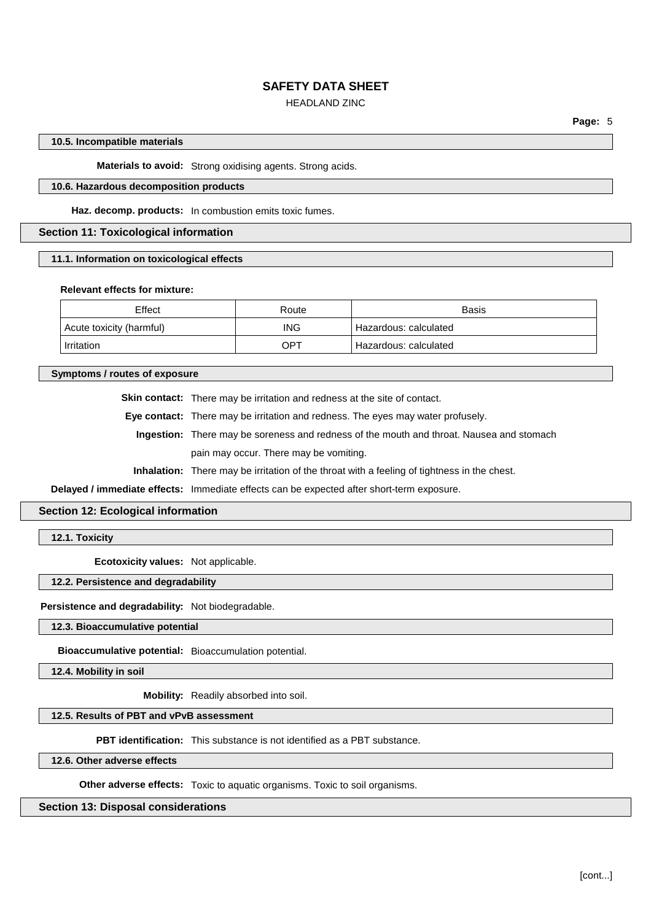## HEADLAND ZINC

### **10.5. Incompatible materials**

**Materials to avoid:** Strong oxidising agents. Strong acids.

#### **10.6. Hazardous decomposition products**

**Haz. decomp. products:** In combustion emits toxic fumes.

### **Section 11: Toxicological information**

**11.1. Information on toxicological effects**

#### **Relevant effects for mixture:**

| Effect                   | Route      | <b>Basis</b>          |
|--------------------------|------------|-----------------------|
| Acute toxicity (harmful) | <b>ING</b> | Hazardous: calculated |
| Irritation               | OPT        | Hazardous: calculated |

**Symptoms / routes of exposure**

**Skin contact:** There may be irritation and redness at the site of contact.

**Eye contact:** There may be irritation and redness. The eyes may water profusely.

**Ingestion:** There may be soreness and redness of the mouth and throat. Nausea and stomach pain may occur. There may be vomiting.

**Inhalation:** There may be irritation of the throat with a feeling of tightness in the chest.

**Delayed / immediate effects:** Immediate effects can be expected after short-term exposure.

### **Section 12: Ecological information**

**12.1. Toxicity**

**Ecotoxicity values:** Not applicable.

## **12.2. Persistence and degradability**

**Persistence and degradability:** Not biodegradable.

#### **12.3. Bioaccumulative potential**

**Bioaccumulative potential:** Bioaccumulation potential.

**12.4. Mobility in soil**

**Mobility:** Readily absorbed into soil.

## **12.5. Results of PBT and vPvB assessment**

**PBT identification:** This substance is not identified as a PBT substance.

**12.6. Other adverse effects**

**Other adverse effects:** Toxic to aquatic organisms. Toxic to soil organisms.

## **Section 13: Disposal considerations**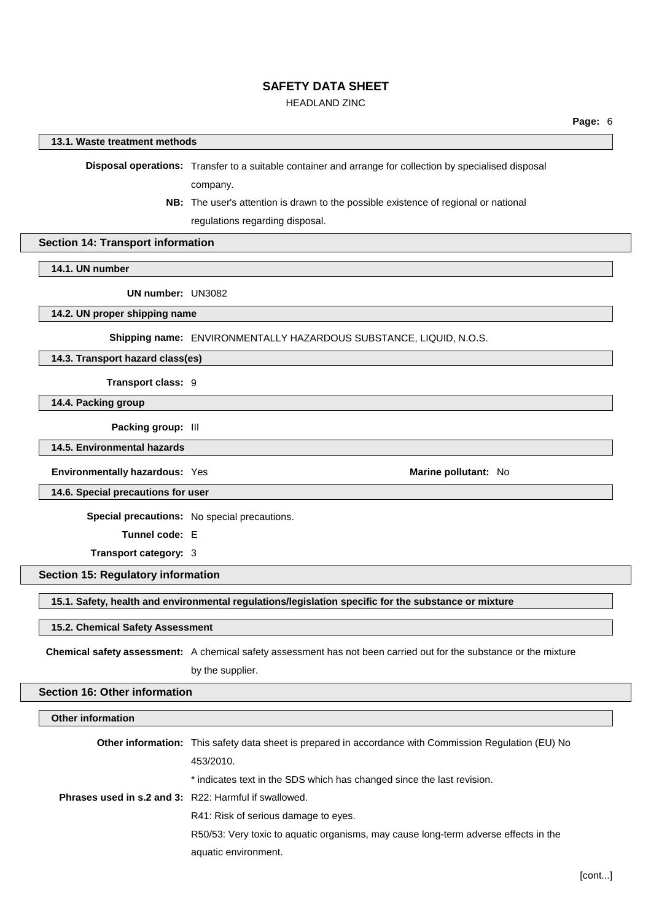## HEADLAND ZINC

### **13.1. Waste treatment methods**

**Disposal operations:** Transfer to a suitable container and arrange for collection by specialised disposal company.

**NB:** The user's attention is drawn to the possible existence of regional or national

regulations regarding disposal.

# **Section 14: Transport information**

**14.1. UN number**

**UN number:** UN3082

**14.2. UN proper shipping name**

**Shipping name:** ENVIRONMENTALLY HAZARDOUS SUBSTANCE, LIQUID, N.O.S.

**14.3. Transport hazard class(es)**

**Transport class:** 9

**14.4. Packing group**

**Packing group:** III

### **14.5. Environmental hazards**

**Environmentally hazardous:** Yes **Marine Marine Marine Marine Marine Marine Marine Marine Marine Marine Marine Marine Marine Marine Marine Marine Marine Marine Marine Marine Marine**

**14.6. Special precautions for user**

**Special precautions:** No special precautions.

**Tunnel code:** E

**Transport category:** 3

## **Section 15: Regulatory information**

**15.1. Safety, health and environmental regulations/legislation specific for the substance or mixture**

#### **15.2. Chemical Safety Assessment**

**Chemical safety assessment:** A chemical safety assessment has not been carried out for the substance or the mixture by the supplier.

## **Section 16: Other information**

| Other information                                     |                                                                                                               |
|-------------------------------------------------------|---------------------------------------------------------------------------------------------------------------|
|                                                       | <b>Other information:</b> This safety data sheet is prepared in accordance with Commission Regulation (EU) No |
|                                                       | 453/2010.                                                                                                     |
|                                                       | * indicates text in the SDS which has changed since the last revision.                                        |
| Phrases used in s.2 and 3: R22: Harmful if swallowed. |                                                                                                               |
|                                                       | R41: Risk of serious damage to eyes.                                                                          |
|                                                       | R50/53: Very toxic to aquatic organisms, may cause long-term adverse effects in the                           |
|                                                       | aquatic environment.                                                                                          |